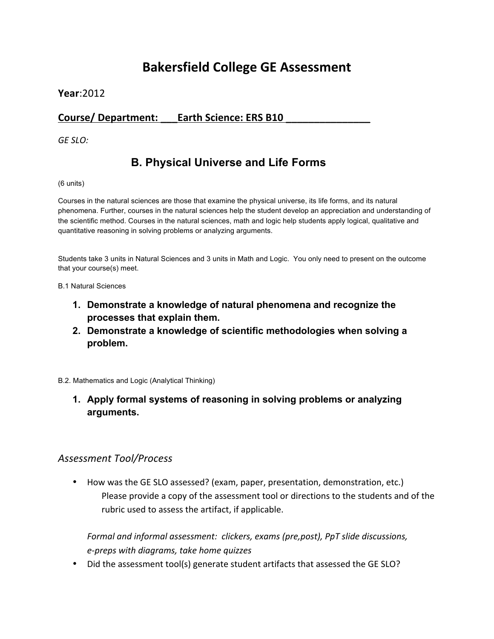# **Bakersfield College GE Assessment**

### **Year**:2012

## **Course/ Department: \_\_\_Earth Science: ERS B10 \_\_\_\_\_\_\_\_\_\_\_\_\_\_\_**

*GE SLO:* 

# **B. Physical Universe and Life Forms**

#### (6 units)

Courses in the natural sciences are those that examine the physical universe, its life forms, and its natural phenomena. Further, courses in the natural sciences help the student develop an appreciation and understanding of the scientific method. Courses in the natural sciences, math and logic help students apply logical, qualitative and quantitative reasoning in solving problems or analyzing arguments.

Students take 3 units in Natural Sciences and 3 units in Math and Logic. You only need to present on the outcome that your course(s) meet.

B.1 Natural Sciences

- **1. Demonstrate a knowledge of natural phenomena and recognize the processes that explain them.**
- **2. Demonstrate a knowledge of scientific methodologies when solving a problem.**

B.2. Mathematics and Logic (Analytical Thinking)

**1. Apply formal systems of reasoning in solving problems or analyzing arguments.**

### *Assessment Tool/Process*

• How was the GE SLO assessed? (exam, paper, presentation, demonstration, etc.) Please provide a copy of the assessment tool or directions to the students and of the rubric used to assess the artifact, if applicable.

*Formal and informal assessment: clickers, exams (pre,post), PpT slide discussions, e-preps with diagrams, take home quizzes*

• Did the assessment tool(s) generate student artifacts that assessed the GE SLO?